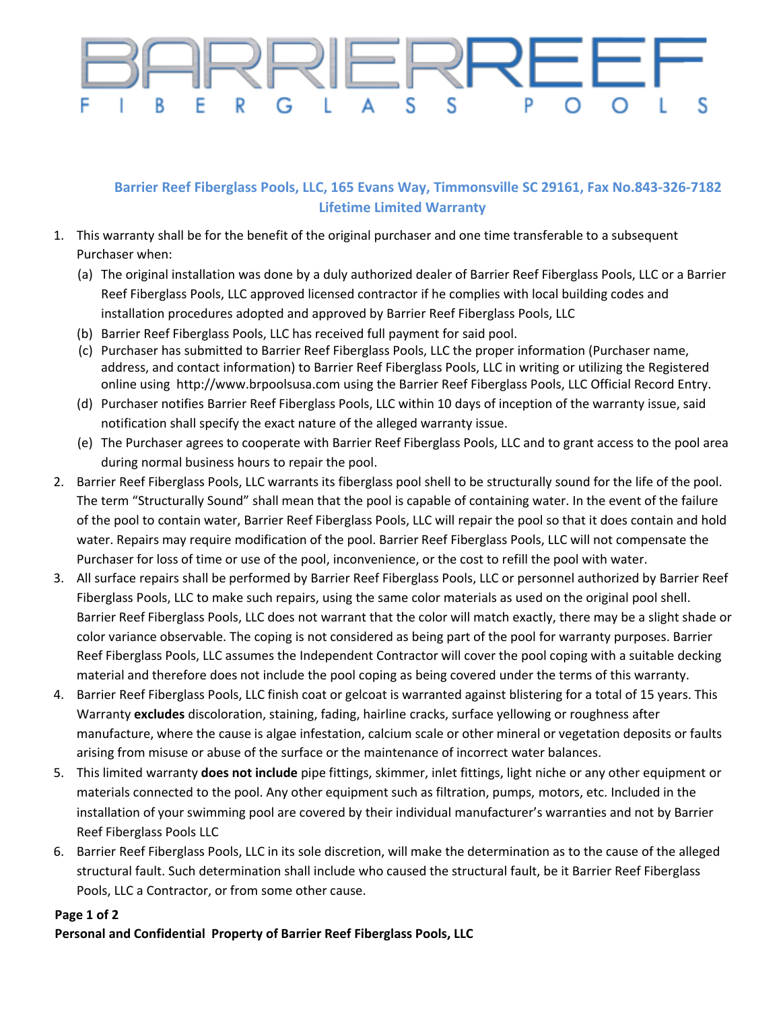## RRIERREE S S B R G S

## **Barrier Reef Fiberglass Pools, LLC, 165 Evans Way, Timmonsville SC 29161, Fax No.843-326-7182 Lifetime Limited Warranty**

- 1. This warranty shall be for the benefit of the original purchaser and one time transferable to a subsequent Purchaser when:
	- (a) The original installation was done by a duly authorized dealer of Barrier Reef Fiberglass Pools, LLC or a Barrier Reef Fiberglass Pools, LLC approved licensed contractor if he complies with local building codes and installation procedures adopted and approved by Barrier Reef Fiberglass Pools, LLC
	- (b) Barrier Reef Fiberglass Pools, LLC has received full payment for said pool.
	- (c) Purchaser has submitted to Barrier Reef Fiberglass Pools, LLC the proper information (Purchaser name, address, and contact information) to Barrier Reef Fiberglass Pools, LLC in writing or utilizing the Registered online using http://www.brpoolsusa.com using the Barrier Reef Fiberglass Pools, LLC Official Record Entry.
	- (d) Purchaser notifies Barrier Reef Fiberglass Pools, LLC within 10 days of inception of the warranty issue, said notification shall specify the exact nature of the alleged warranty issue.
	- (e) The Purchaser agrees to cooperate with Barrier Reef Fiberglass Pools, LLC and to grant access to the pool area during normal business hours to repair the pool.
- 2. Barrier Reef Fiberglass Pools, LLC warrants its fiberglass pool shell to be structurally sound for the life of the pool. The term "Structurally Sound" shall mean that the pool is capable of containing water. In the event of the failure of the pool to contain water, Barrier Reef Fiberglass Pools, LLC will repair the pool so that it does contain and hold water. Repairs may require modification of the pool. Barrier Reef Fiberglass Pools, LLC will not compensate the Purchaser for loss of time or use of the pool, inconvenience, or the cost to refill the pool with water.
- 3. All surface repairs shall be performed by Barrier Reef Fiberglass Pools, LLC or personnel authorized by Barrier Reef Fiberglass Pools, LLC to make such repairs, using the same color materials as used on the original pool shell. Barrier Reef Fiberglass Pools, LLC does not warrant that the color will match exactly, there may be a slight shade or color variance observable. The coping is not considered as being part of the pool for warranty purposes. Barrier Reef Fiberglass Pools, LLC assumes the Independent Contractor will cover the pool coping with a suitable decking material and therefore does not include the pool coping as being covered under the terms of this warranty.
- 4. Barrier Reef Fiberglass Pools, LLC finish coat or gelcoat is warranted against blistering for a total of 15 years. This Warranty **excludes** discoloration, staining, fading, hairline cracks, surface yellowing or roughness after manufacture, where the cause is algae infestation, calcium scale or other mineral or vegetation deposits or faults arising from misuse or abuse of the surface or the maintenance of incorrect water balances.
- 5. This limited warranty **does not include** pipe fittings, skimmer, inlet fittings, light niche or any other equipment or materials connected to the pool. Any other equipment such as filtration, pumps, motors, etc. Included in the installation of your swimming pool are covered by their individual manufacturer's warranties and not by Barrier Reef Fiberglass Pools LLC
- 6. Barrier Reef Fiberglass Pools, LLC in its sole discretion, will make the determination as to the cause of the alleged structural fault. Such determination shall include who caused the structural fault, be it Barrier Reef Fiberglass Pools, LLC a Contractor, or from some other cause.

## **Page 1 of 2**

## **Personal and Confidential Property of Barrier Reef Fiberglass Pools, LLC**